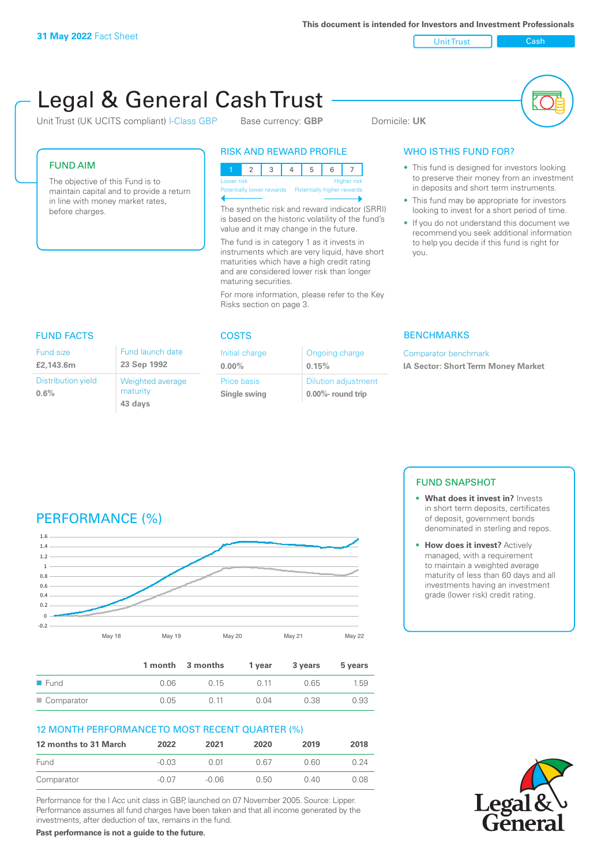FUND AIM

before charges.

Unit Trust Cash

# Legal & General Cash Trust

Unit Trust (UK UCITS compliant) I-Class GBP Base currency: **GBP** Domicile: UK

The objective of this Fund is to maintain capital and to provide a return in line with money market rates,

# RISK AND REWARD PROFILE

| Lower risk |  |  |  | <b>Higher risk</b> |
|------------|--|--|--|--------------------|

ntially lower rewards Potentially higher rev

The synthetic risk and reward indicator (SRRI) is based on the historic volatility of the fund's value and it may change in the future.

The fund is in category 1 as it invests in instruments which are very liquid, have short maturities which have a high credit rating and are considered lower risk than longer maturing securities.

For more information, please refer to the Key Risks section on page 3.

# WHO IS THIS FUND FOR?

- This fund is designed for investors looking to preserve their money from an investment in deposits and short term instruments.
- This fund may be appropriate for investors looking to invest for a short period of time.
- If you do not understand this document we recommend you seek additional information to help you decide if this fund is right for you.

| <b>FUND FACTS</b>                    |                                         | <b>COSTS</b>           |  |
|--------------------------------------|-----------------------------------------|------------------------|--|
| <b>Fund size</b><br>£2,143.6m        | Fund launch date<br>23 Sep 1992         | Initial ch<br>$0.00\%$ |  |
| <b>Distribution yield</b><br>$0.6\%$ | Weighted average<br>maturity<br>43 days | Price bas<br>Single sy |  |

| - |  |  |
|---|--|--|
| ٠ |  |  |

| Initial charge | Ongoing charge             |
|----------------|----------------------------|
| $0.00\%$       | 0.15%                      |
| Price basis    | <b>Dilution adjustment</b> |
| Single swing   | $0.00\%$ - round trip      |

### **BENCHMARKS**

Comparator benchmark **IA Sector: Short Term Money Market**

# PERFORMANCE (%)



|                     |       | 1 month 3 months | 1 vear | 3 years | 5 years |
|---------------------|-------|------------------|--------|---------|---------|
| $\blacksquare$ Fund | 0 0 6 | 0.15             | O 11   | 0.65    | 1.59    |
| ■ Comparator        | 0.05  | O 11             | 0.04   | 0.38    | 0.93    |

# 12 MONTH PERFORMANCE TO MOST RECENT QUARTER (%)

| 12 months to 31 March | 2022  | 2021  | 2020 | 2019 | 2018 |
|-----------------------|-------|-------|------|------|------|
| Fund                  | -0.03 | O 01  | 0.67 | 0 GO | በ 24 |
| Comparator            | -0.07 | -0.06 | O 50 | 0.40 | N 08 |

Performance for the I Acc unit class in GBP, launched on 07 November 2005. Source: Lipper. Performance assumes all fund charges have been taken and that all income generated by the investments, after deduction of tax, remains in the fund.

FUND SNAPSHOT

- **• What does it invest in?** Invests in short term deposits, certificates of deposit, government bonds denominated in sterling and repos.
- **• How does it invest?** Actively managed, with a requirement to maintain a weighted average maturity of less than 60 days and all investments having an investment grade (lower risk) credit rating.



**Past performance is not a guide to the future.**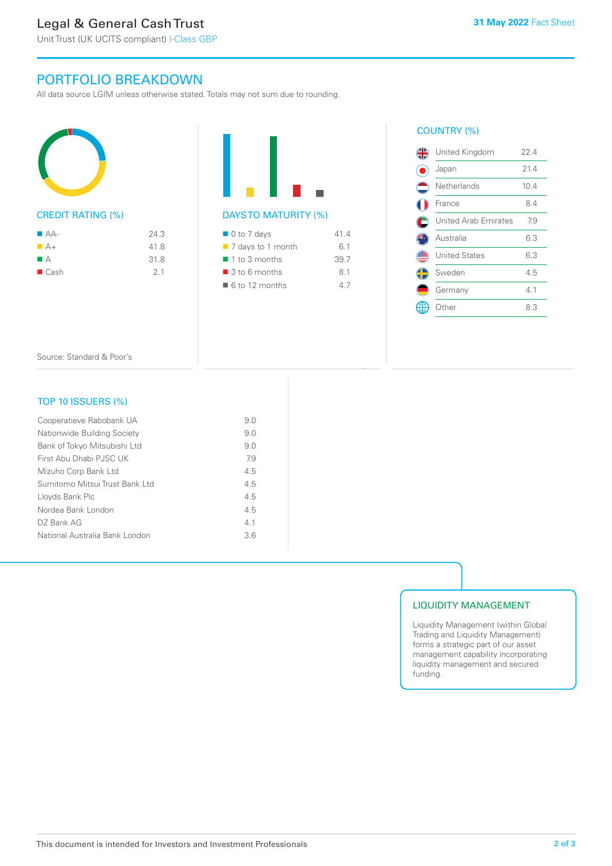# Legal & General Cash Trust

Unit Trust (UK UCITS compliant) I-Class GBP

# PORTFOLIO BREAKDOWN

All data source LGIM unless otherwise stated. Totals may not sum due to rounding.



# CREDIT RATING (%)

| $A-A$                   | 24.3 |
|-------------------------|------|
| $A +$                   | 41.8 |
| $\blacksquare$ $\vdash$ | 31.8 |
| $\blacksquare$ Cash     | 21   |



# $\blacksquare$  0 to 7 days 41.4 ■ 7 days to 1 month 6.1 ■ 1 to 3 months 39.7  $\blacksquare$  3 to 6 months 8.1  $\blacksquare$  6 to 12 months 4.7

## COUNTRY (%)

|                | United Kingdom              | 22 4 |
|----------------|-----------------------------|------|
| ŀ.             | Japan                       | 21.4 |
| $\blacksquare$ | Netherlands                 | 10.4 |
|                | France                      | 8.4  |
| C              | <b>United Arab Emirates</b> | 7.9  |
| ß              | Australia                   | 6.3  |
|                | <b>United States</b>        | 6.3  |
| ¢              | Sweden                      | 4.5  |
|                | Germany                     | 4.1  |
|                | .)ther                      | 8.3  |
|                |                             |      |

Source: Standard & Poor's

# TOP 10 ISSUERS (%)

| Cooperatieve Rabobank UA       | 9.0 |
|--------------------------------|-----|
| Nationwide Building Society    | 9.0 |
| Bank of Tokyo Mitsubishi Ltd   | 9.0 |
| First Abu Dhabi PJSC UK        | 7.9 |
| Mizuho Corp Bank Ltd           | 4.5 |
| Sumitomo Mitsui Trust Bank Ltd | 4.5 |
| Lloyds Bank Plc                | 4.5 |
| Nordea Bank London             | 4.5 |
| DZ Bank AG                     | 4.1 |
| National Australia Bank London | 3.6 |
|                                |     |

# LIQUIDITY MANAGEMENT

Liquidity Management (within Global Trading and Liquidity Management) forms a strategic part of our asset management capability incorporating liquidity management and secured funding.